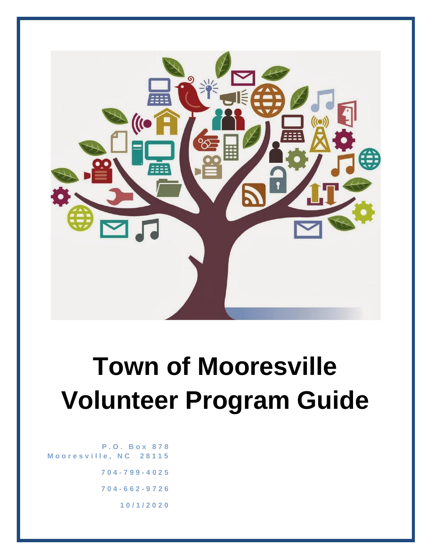

# **Town of Mooresville Volunteer Program Guide**

**P . O . B o x 8 7 8 M o o r e s v i l l e , N C 2 8 1 1 5 704 - 7 9 9 - 4 0 2 5 704 - 6 6 2 - 9 7 2 6 1 0 / 1 / 2 0 2 0**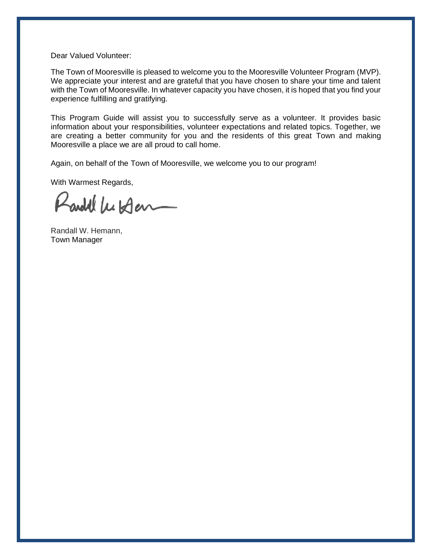Dear Valued Volunteer:

The Town of Mooresville is pleased to welcome you to the Mooresville Volunteer Program (MVP). We appreciate your interest and are grateful that you have chosen to share your time and talent with the Town of Mooresville. In whatever capacity you have chosen, it is hoped that you find your experience fulfilling and gratifying.

This Program Guide will assist you to successfully serve as a volunteer. It provides basic information about your responsibilities, volunteer expectations and related topics. Together, we are creating a better community for you and the residents of this great Town and making Mooresville a place we are all proud to call home.

Again, on behalf of the Town of Mooresville, we welcome you to our program!

With Warmest Regards,

Randel Wilder

Randall W. Hemann, Town Manager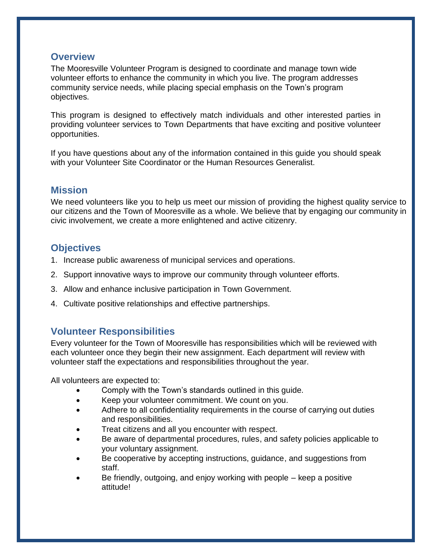#### **Overview**

The Mooresville Volunteer Program is designed to coordinate and manage town wide volunteer efforts to enhance the community in which you live. The program addresses community service needs, while placing special emphasis on the Town's program objectives.

This program is designed to effectively match individuals and other interested parties in providing volunteer services to Town Departments that have exciting and positive volunteer opportunities.

If you have questions about any of the information contained in this guide you should speak with your Volunteer Site Coordinator or the Human Resources Generalist.

# **Mission**

We need volunteers like you to help us meet our mission of providing the highest quality service to our citizens and the Town of Mooresville as a whole. We believe that by engaging our community in civic involvement, we create a more enlightened and active citizenry.

# **Objectives**

- 1. Increase public awareness of municipal services and operations.
- 2. Support innovative ways to improve our community through volunteer efforts.
- 3. Allow and enhance inclusive participation in Town Government.
- 4. Cultivate positive relationships and effective partnerships.

# **Volunteer Responsibilities**

Every volunteer for the Town of Mooresville has responsibilities which will be reviewed with each volunteer once they begin their new assignment. Each department will review with volunteer staff the expectations and responsibilities throughout the year.

All volunteers are expected to:

- Comply with the Town's standards outlined in this guide.
- Keep your volunteer commitment. We count on you.
- Adhere to all confidentiality requirements in the course of carrying out duties and responsibilities.
- Treat citizens and all you encounter with respect.
- Be aware of departmental procedures, rules, and safety policies applicable to your voluntary assignment.
- Be cooperative by accepting instructions, guidance, and suggestions from staff.
- Be friendly, outgoing, and enjoy working with people keep a positive attitude!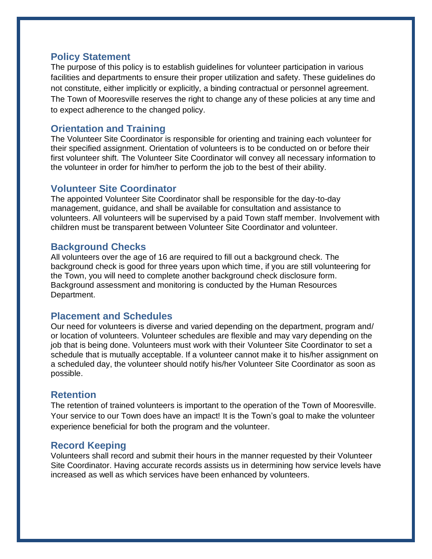#### **Policy Statement**

The purpose of this policy is to establish guidelines for volunteer participation in various facilities and departments to ensure their proper utilization and safety. These guidelines do not constitute, either implicitly or explicitly, a binding contractual or personnel agreement. The Town of Mooresville reserves the right to change any of these policies at any time and to expect adherence to the changed policy.

# **Orientation and Training**

The Volunteer Site Coordinator is responsible for orienting and training each volunteer for their specified assignment. Orientation of volunteers is to be conducted on or before their first volunteer shift. The Volunteer Site Coordinator will convey all necessary information to the volunteer in order for him/her to perform the job to the best of their ability.

#### **Volunteer Site Coordinator**

The appointed Volunteer Site Coordinator shall be responsible for the day-to-day management, guidance, and shall be available for consultation and assistance to volunteers. All volunteers will be supervised by a paid Town staff member. Involvement with children must be transparent between Volunteer Site Coordinator and volunteer.

# **Background Checks**

All volunteers over the age of 16 are required to fill out a background check. The background check is good for three years upon which time, if you are still volunteering for the Town, you will need to complete another background check disclosure form. Background assessment and monitoring is conducted by the Human Resources Department.

#### **Placement and Schedules**

Our need for volunteers is diverse and varied depending on the department, program and/ or location of volunteers. Volunteer schedules are flexible and may vary depending on the job that is being done. Volunteers must work with their Volunteer Site Coordinator to set a schedule that is mutually acceptable. If a volunteer cannot make it to his/her assignment on a scheduled day, the volunteer should notify his/her Volunteer Site Coordinator as soon as possible.

# **Retention**

The retention of trained volunteers is important to the operation of the Town of Mooresville. Your service to our Town does have an impact! It is the Town's goal to make the volunteer experience beneficial for both the program and the volunteer.

# **Record Keeping**

Volunteers shall record and submit their hours in the manner requested by their Volunteer Site Coordinator. Having accurate records assists us in determining how service levels have increased as well as which services have been enhanced by volunteers.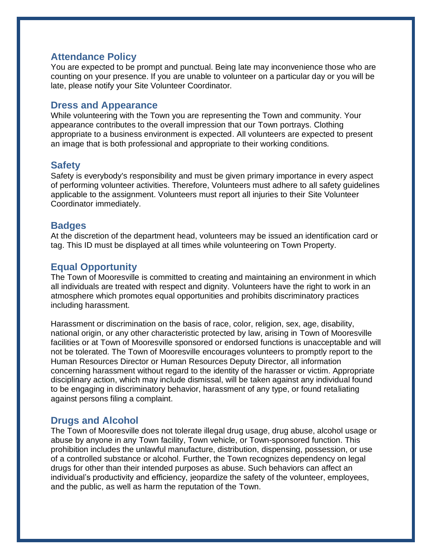#### **Attendance Policy**

You are expected to be prompt and punctual. Being late may inconvenience those who are counting on your presence. If you are unable to volunteer on a particular day or you will be late, please notify your Site Volunteer Coordinator.

#### **Dress and Appearance**

While volunteering with the Town you are representing the Town and community. Your appearance contributes to the overall impression that our Town portrays. Clothing appropriate to a business environment is expected. All volunteers are expected to present an image that is both professional and appropriate to their working conditions.

#### **Safety**

Safety is everybody's responsibility and must be given primary importance in every aspect of performing volunteer activities. Therefore, Volunteers must adhere to all safety guidelines applicable to the assignment. Volunteers must report all injuries to their Site Volunteer Coordinator immediately.

#### **Badges**

At the discretion of the department head, volunteers may be issued an identification card or tag. This ID must be displayed at all times while volunteering on Town Property.

# **Equal Opportunity**

The Town of Mooresville is committed to creating and maintaining an environment in which all individuals are treated with respect and dignity. Volunteers have the right to work in an atmosphere which promotes equal opportunities and prohibits discriminatory practices including harassment.

Harassment or discrimination on the basis of race, color, religion, sex, age, disability, national origin, or any other characteristic protected by law, arising in Town of Mooresville facilities or at Town of Mooresville sponsored or endorsed functions is unacceptable and will not be tolerated. The Town of Mooresville encourages volunteers to promptly report to the Human Resources Director or Human Resources Deputy Director, all information concerning harassment without regard to the identity of the harasser or victim. Appropriate disciplinary action, which may include dismissal, will be taken against any individual found to be engaging in discriminatory behavior, harassment of any type, or found retaliating against persons filing a complaint.

#### **Drugs and Alcohol**

The Town of Mooresville does not tolerate illegal drug usage, drug abuse, alcohol usage or abuse by anyone in any Town facility, Town vehicle, or Town-sponsored function. This prohibition includes the unlawful manufacture, distribution, dispensing, possession, or use of a controlled substance or alcohol. Further, the Town recognizes dependency on legal drugs for other than their intended purposes as abuse. Such behaviors can affect an individual's productivity and efficiency, jeopardize the safety of the volunteer, employees, and the public, as well as harm the reputation of the Town.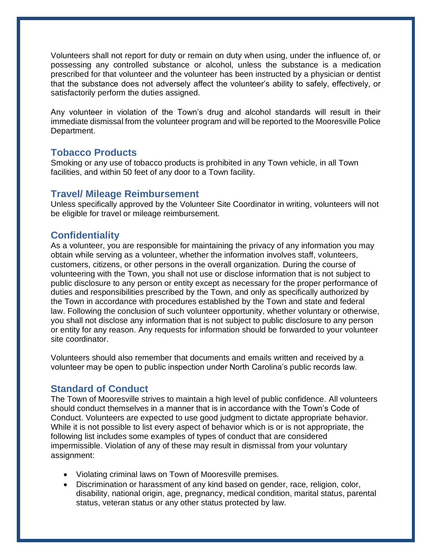Volunteers shall not report for duty or remain on duty when using, under the influence of, or possessing any controlled substance or alcohol, unless the substance is a medication prescribed for that volunteer and the volunteer has been instructed by a physician or dentist that the substance does not adversely affect the volunteer's ability to safely, effectively, or satisfactorily perform the duties assigned.

Any volunteer in violation of the Town's drug and alcohol standards will result in their immediate dismissal from the volunteer program and will be reported to the Mooresville Police Department.

#### **Tobacco Products**

Smoking or any use of tobacco products is prohibited in any Town vehicle, in all Town facilities, and within 50 feet of any door to a Town facility.

# **Travel/ Mileage Reimbursement**

Unless specifically approved by the Volunteer Site Coordinator in writing, volunteers will not be eligible for travel or mileage reimbursement.

# **Confidentiality**

As a volunteer, you are responsible for maintaining the privacy of any information you may obtain while serving as a volunteer, whether the information involves staff, volunteers, customers, citizens, or other persons in the overall organization. During the course of volunteering with the Town, you shall not use or disclose information that is not subject to public disclosure to any person or entity except as necessary for the proper performance of duties and responsibilities prescribed by the Town, and only as specifically authorized by the Town in accordance with procedures established by the Town and state and federal law. Following the conclusion of such volunteer opportunity, whether voluntary or otherwise, you shall not disclose any information that is not subject to public disclosure to any person or entity for any reason. Any requests for information should be forwarded to your volunteer site coordinator.

Volunteers should also remember that documents and emails written and received by a volunteer may be open to public inspection under North Carolina's public records law.

# **Standard of Conduct**

The Town of Mooresville strives to maintain a high level of public confidence. All volunteers should conduct themselves in a manner that is in accordance with the Town's Code of Conduct. Volunteers are expected to use good judgment to dictate appropriate behavior. While it is not possible to list every aspect of behavior which is or is not appropriate, the following list includes some examples of types of conduct that are considered impermissible. Violation of any of these may result in dismissal from your voluntary assignment:

- Violating criminal laws on Town of Mooresville premises.
- Discrimination or harassment of any kind based on gender, race, religion, color, disability, national origin, age, pregnancy, medical condition, marital status, parental status, veteran status or any other status protected by law.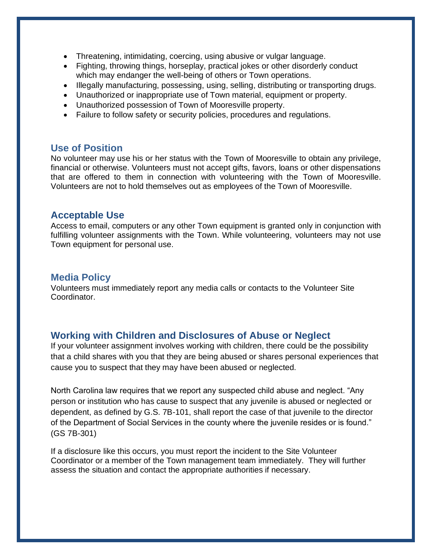- Threatening, intimidating, coercing, using abusive or vulgar language.
- Fighting, throwing things, horseplay, practical jokes or other disorderly conduct which may endanger the well-being of others or Town operations.
- Illegally manufacturing, possessing, using, selling, distributing or transporting drugs.
- Unauthorized or inappropriate use of Town material, equipment or property.
- Unauthorized possession of Town of Mooresville property.
- Failure to follow safety or security policies, procedures and regulations.

#### **Use of Position**

No volunteer may use his or her status with the Town of Mooresville to obtain any privilege, financial or otherwise. Volunteers must not accept gifts, favors, loans or other dispensations that are offered to them in connection with volunteering with the Town of Mooresville. Volunteers are not to hold themselves out as employees of the Town of Mooresville.

#### **Acceptable Use**

Access to email, computers or any other Town equipment is granted only in conjunction with fulfilling volunteer assignments with the Town. While volunteering, volunteers may not use Town equipment for personal use.

#### **Media Policy**

Volunteers must immediately report any media calls or contacts to the Volunteer Site Coordinator.

#### **Working with Children and Disclosures of Abuse or Neglect**

If your volunteer assignment involves working with children, there could be the possibility that a child shares with you that they are being abused or shares personal experiences that cause you to suspect that they may have been abused or neglected.

North Carolina law requires that we report any suspected child abuse and neglect. "Any person or institution who has cause to suspect that any juvenile is abused or neglected or dependent, as defined by G.S. 7B-101, shall report the case of that juvenile to the director of the Department of Social Services in the county where the juvenile resides or is found." (GS 7B-301)

If a disclosure like this occurs, you must report the incident to the Site Volunteer Coordinator or a member of the Town management team immediately. They will further assess the situation and contact the appropriate authorities if necessary.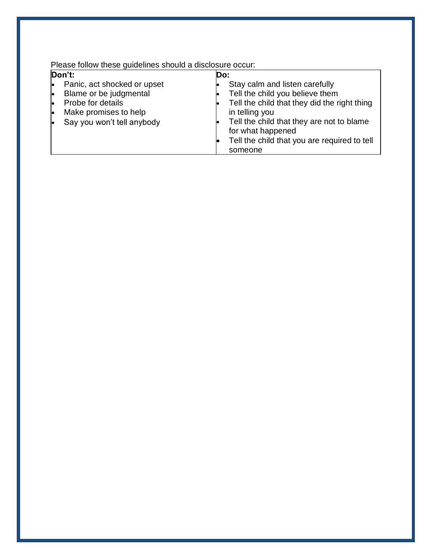Please follow these guidelines should a disclosure occur:

| Don't: |                             | Do: |                                              |
|--------|-----------------------------|-----|----------------------------------------------|
|        | Panic, act shocked or upset |     | Stay calm and listen carefully               |
|        | Blame or be judgmental      |     | Tell the child you believe them              |
|        | Probe for details           |     | Tell the child that they did the right thing |
|        | Make promises to help       |     | in telling you                               |
|        | Say you won't tell anybody  |     | Tell the child that they are not to blame    |
|        |                             |     | for what happened                            |
|        |                             |     | Tell the child that you are required to tell |
|        |                             |     | someone                                      |